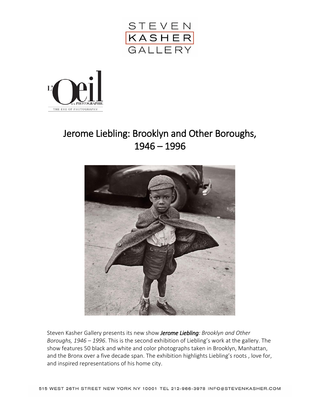



## Jerome Liebling: Brooklyn and Other Boroughs, 1946 – 1996



Steven Kasher Gallery presents its new show *Jerome Liebling: Brooklyn and Other Boroughs, 1946 – 1996*. This is the second exhibition of Liebling's work at the gallery. The show features 50 black and white and color photographs taken in Brooklyn, Manhattan, and the Bronx over a five decade span. The exhibition highlights Liebling's roots , love for, and inspired representations of his home city.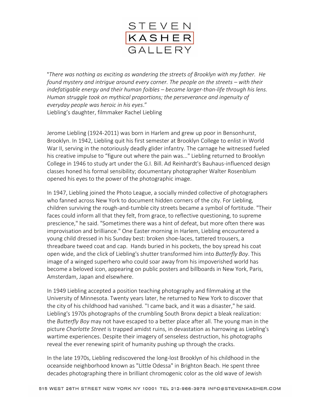

"*There was nothing as exciting as wandering the streets of Brooklyn with my father. He found mystery and intrigue around every corner. The people on the streets – with their indefatigable energy and their human foibles – became larger-than-life through his lens. Human struggle took on mythical proportions; the perseverance and ingenuity of everyday people was heroic in his eyes*." Liebling's daughter, filmmaker Rachel Liebling

Jerome Liebling (1924-2011) was born in Harlem and grew up poor in Bensonhurst, Brooklyn. In 1942, Liebling quit his first semester at Brooklyn College to enlist in World War II, serving in the notoriously deadly glider infantry. The carnage he witnessed fueled his creative impulse to "figure out where the pain was..." Liebling returned to Brooklyn College in 1946 to study art under the G.I. Bill. Ad Reinhardt's Bauhaus-influenced design classes honed his formal sensibility; documentary photographer Walter Rosenblum opened his eyes to the power of the photographic image.

In 1947, Liebling joined the Photo League, a socially minded collective of photographers who fanned across New York to document hidden corners of the city. For Liebling, children surviving the rough-and-tumble city streets became a symbol of fortitude. "Their faces could inform all that they felt, from grace, to reflective questioning, to supreme prescience," he said. "Sometimes there was a hint of defeat, but more often there was improvisation and brilliance." One Easter morning in Harlem, Liebling encountered a young child dressed in his Sunday best: broken shoe-laces, tattered trousers, a threadbare tweed coat and cap. Hands buried in his pockets, the boy spread his coat open wide, and the click of Liebling's shutter transformed him into *Butterfly Boy*. This image of a winged superhero who could soar away from his impoverished world has become a beloved icon, appearing on public posters and billboards in New York, Paris, Amsterdam, Japan and elsewhere.

In 1949 Liebling accepted a position teaching photography and filmmaking at the University of Minnesota. Twenty years later, he returned to New York to discover that the city of his childhood had vanished. ''I came back, and it was a disaster," he said. Liebling's 1970s photographs of the crumbling South Bronx depict a bleak realization: the *Butterfly Boy* may not have escaped to a better place after all. The young man in the picture *Charlotte Street* is trapped amidst ruins, in devastation as harrowing as Liebling's wartime experiences. Despite their imagery of senseless destruction, his photographs reveal the ever renewing spirit of humanity pushing up through the cracks.

In the late 1970s, Liebling rediscovered the long-lost Brooklyn of his childhood in the oceanside neighborhood known as "Little Odessa" in Brighton Beach. He spent three decades photographing there in brilliant chromogenic color as the old wave of Jewish